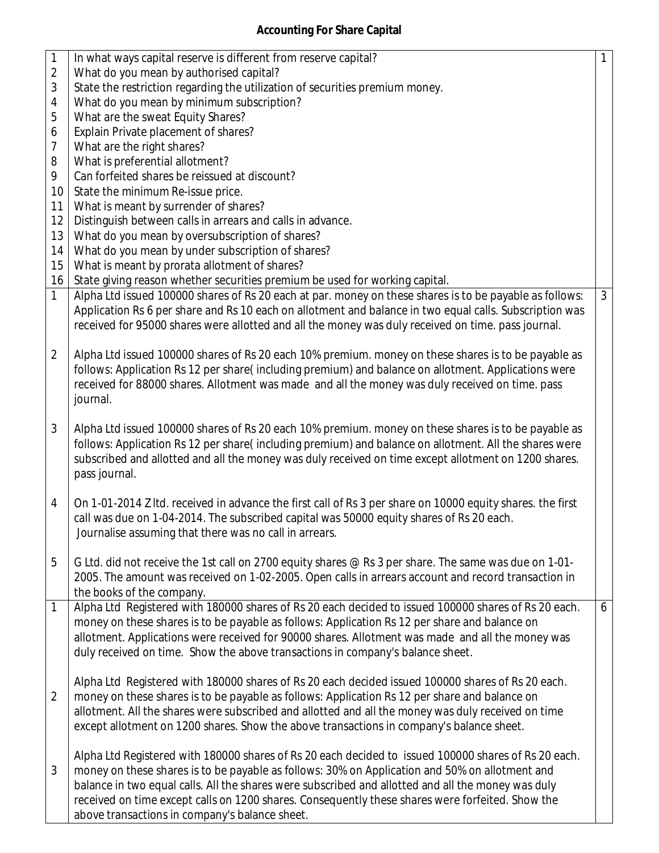## **Accounting For Share Capital**

| $\mathbf{1}$   | In what ways capital reserve is different from reserve capital?                                                                                                                                                                                                                                                                                                                                                                                                    | $\mathbf{1}$ |
|----------------|--------------------------------------------------------------------------------------------------------------------------------------------------------------------------------------------------------------------------------------------------------------------------------------------------------------------------------------------------------------------------------------------------------------------------------------------------------------------|--------------|
| $\overline{2}$ | What do you mean by authorised capital?                                                                                                                                                                                                                                                                                                                                                                                                                            |              |
| 3              | State the restriction regarding the utilization of securities premium money.                                                                                                                                                                                                                                                                                                                                                                                       |              |
| 4              | What do you mean by minimum subscription?                                                                                                                                                                                                                                                                                                                                                                                                                          |              |
| 5              | What are the sweat Equity Shares?                                                                                                                                                                                                                                                                                                                                                                                                                                  |              |
| 6              | Explain Private placement of shares?                                                                                                                                                                                                                                                                                                                                                                                                                               |              |
| 7              | What are the right shares?                                                                                                                                                                                                                                                                                                                                                                                                                                         |              |
| 8              | What is preferential allotment?                                                                                                                                                                                                                                                                                                                                                                                                                                    |              |
| 9              | Can forfeited shares be reissued at discount?                                                                                                                                                                                                                                                                                                                                                                                                                      |              |
| 10             | State the minimum Re-issue price.                                                                                                                                                                                                                                                                                                                                                                                                                                  |              |
| 11             | What is meant by surrender of shares?                                                                                                                                                                                                                                                                                                                                                                                                                              |              |
| 12             | Distinguish between calls in arrears and calls in advance.                                                                                                                                                                                                                                                                                                                                                                                                         |              |
| 13             | What do you mean by oversubscription of shares?                                                                                                                                                                                                                                                                                                                                                                                                                    |              |
| 14             | What do you mean by under subscription of shares?                                                                                                                                                                                                                                                                                                                                                                                                                  |              |
| 15             | What is meant by prorata allotment of shares?                                                                                                                                                                                                                                                                                                                                                                                                                      |              |
| 16             | State giving reason whether securities premium be used for working capital.                                                                                                                                                                                                                                                                                                                                                                                        |              |
| 1              | Alpha Ltd issued 100000 shares of Rs 20 each at par. money on these shares is to be payable as follows:                                                                                                                                                                                                                                                                                                                                                            | $\mathbf{3}$ |
|                | Application Rs 6 per share and Rs 10 each on allotment and balance in two equal calls. Subscription was<br>received for 95000 shares were allotted and all the money was duly received on time. pass journal.                                                                                                                                                                                                                                                      |              |
| $\overline{2}$ | Alpha Ltd issued 100000 shares of Rs 20 each 10% premium. money on these shares is to be payable as<br>follows: Application Rs 12 per share(including premium) and balance on allotment. Applications were<br>received for 88000 shares. Allotment was made and all the money was duly received on time. pass<br>journal.                                                                                                                                          |              |
| 3              | Alpha Ltd issued 100000 shares of Rs 20 each 10% premium. money on these shares is to be payable as<br>follows: Application Rs 12 per share(including premium) and balance on allotment. All the shares were<br>subscribed and allotted and all the money was duly received on time except allotment on 1200 shares.<br>pass journal.                                                                                                                              |              |
| 4              | On 1-01-2014 Z Itd. received in advance the first call of Rs 3 per share on 10000 equity shares. the first<br>call was due on 1-04-2014. The subscribed capital was 50000 equity shares of Rs 20 each.<br>Journalise assuming that there was no call in arrears.                                                                                                                                                                                                   |              |
| 5              | G Ltd. did not receive the 1st call on 2700 equity shares @ Rs 3 per share. The same was due on 1-01-<br>2005. The amount was received on 1-02-2005. Open calls in arrears account and record transaction in<br>the books of the company.                                                                                                                                                                                                                          |              |
| 1              | Alpha Ltd Registered with 180000 shares of Rs 20 each decided to issued 100000 shares of Rs 20 each.<br>money on these shares is to be payable as follows: Application Rs 12 per share and balance on<br>allotment. Applications were received for 90000 shares. Allotment was made and all the money was<br>duly received on time. Show the above transactions in company's balance sheet.                                                                        | 6            |
| $\overline{2}$ | Alpha Ltd Registered with 180000 shares of Rs 20 each decided issued 100000 shares of Rs 20 each.<br>money on these shares is to be payable as follows: Application Rs 12 per share and balance on<br>allotment. All the shares were subscribed and allotted and all the money was duly received on time<br>except allotment on 1200 shares. Show the above transactions in company's balance sheet.                                                               |              |
| 3              | Alpha Ltd Registered with 180000 shares of Rs 20 each decided to issued 100000 shares of Rs 20 each.<br>money on these shares is to be payable as follows: 30% on Application and 50% on allotment and<br>balance in two equal calls. All the shares were subscribed and allotted and all the money was duly<br>received on time except calls on 1200 shares. Consequently these shares were forfeited. Show the<br>above transactions in company's balance sheet. |              |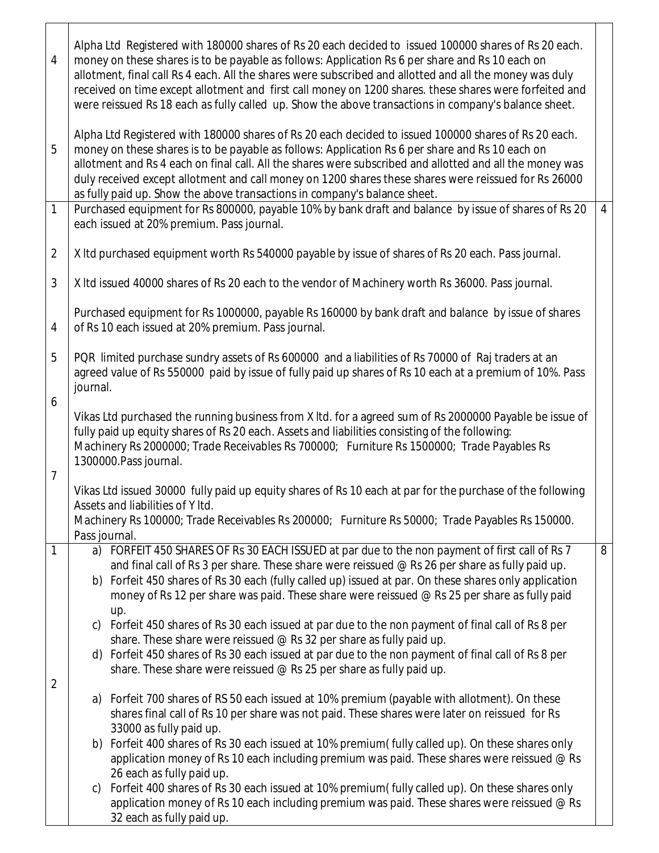| $\overline{4}$ | Alpha Ltd Registered with 180000 shares of Rs 20 each decided to issued 100000 shares of Rs 20 each.<br>money on these shares is to be payable as follows: Application Rs 6 per share and Rs 10 each on<br>allotment, final call Rs 4 each. All the shares were subscribed and allotted and all the money was duly<br>received on time except allotment and first call money on 1200 shares. these shares were forfeited and<br>were reissued Rs 18 each as fully called up. Show the above transactions in company's balance sheet. |                |
|----------------|--------------------------------------------------------------------------------------------------------------------------------------------------------------------------------------------------------------------------------------------------------------------------------------------------------------------------------------------------------------------------------------------------------------------------------------------------------------------------------------------------------------------------------------|----------------|
| 5              | Alpha Ltd Registered with 180000 shares of Rs 20 each decided to issued 100000 shares of Rs 20 each.<br>money on these shares is to be payable as follows: Application Rs 6 per share and Rs 10 each on<br>allotment and Rs 4 each on final call. All the shares were subscribed and allotted and all the money was<br>duly received except allotment and call money on 1200 shares these shares were reissued for Rs 26000<br>as fully paid up. Show the above transactions in company's balance sheet.                             |                |
| 1              | Purchased equipment for Rs 800000, payable 10% by bank draft and balance by issue of shares of Rs 20<br>each issued at 20% premium. Pass journal.                                                                                                                                                                                                                                                                                                                                                                                    | $\overline{4}$ |
| $\overline{2}$ | X Itd purchased equipment worth Rs 540000 payable by issue of shares of Rs 20 each. Pass journal.                                                                                                                                                                                                                                                                                                                                                                                                                                    |                |
| 3              | X Itd issued 40000 shares of Rs 20 each to the vendor of Machinery worth Rs 36000. Pass journal.                                                                                                                                                                                                                                                                                                                                                                                                                                     |                |
| $\overline{4}$ | Purchased equipment for Rs 1000000, payable Rs 160000 by bank draft and balance by issue of shares<br>of Rs 10 each issued at 20% premium. Pass journal.                                                                                                                                                                                                                                                                                                                                                                             |                |
| 5              | PQR limited purchase sundry assets of Rs 600000 and a liabilities of Rs 70000 of Raj traders at an<br>agreed value of Rs 550000 paid by issue of fully paid up shares of Rs 10 each at a premium of 10%. Pass<br>journal.                                                                                                                                                                                                                                                                                                            |                |
| 6              | Vikas Ltd purchased the running business from X ltd. for a agreed sum of Rs 2000000 Payable be issue of<br>fully paid up equity shares of Rs 20 each. Assets and liabilities consisting of the following:<br>Machinery Rs 2000000; Trade Receivables Rs 700000; Furniture Rs 1500000; Trade Payables Rs<br>1300000. Pass journal.                                                                                                                                                                                                    |                |
| $\overline{7}$ | Vikas Ltd issued 30000 fully paid up equity shares of Rs 10 each at par for the purchase of the following<br>Assets and liabilities of Y Itd.<br>Machinery Rs 100000; Trade Receivables Rs 200000; Furniture Rs 50000; Trade Payables Rs 150000.<br>Pass journal.                                                                                                                                                                                                                                                                    |                |
| 1              | a) FORFEIT 450 SHARES OF Rs 30 EACH ISSUED at par due to the non payment of first call of Rs 7<br>and final call of Rs 3 per share. These share were reissued @ Rs 26 per share as fully paid up.<br>b) Forfeit 450 shares of Rs 30 each (fully called up) issued at par. On these shares only application<br>money of Rs 12 per share was paid. These share were reissued @ Rs 25 per share as fully paid<br>up.                                                                                                                    | 8              |
| 2              | c) Forfeit 450 shares of Rs 30 each issued at par due to the non payment of final call of Rs 8 per<br>share. These share were reissued @ Rs 32 per share as fully paid up.<br>d) Forfeit 450 shares of Rs 30 each issued at par due to the non payment of final call of Rs 8 per<br>share. These share were reissued @ Rs 25 per share as fully paid up.                                                                                                                                                                             |                |
|                | a) Forfeit 700 shares of RS 50 each issued at 10% premium (payable with allotment). On these<br>shares final call of Rs 10 per share was not paid. These shares were later on reissued for Rs<br>33000 as fully paid up.                                                                                                                                                                                                                                                                                                             |                |
|                | b) Forfeit 400 shares of Rs 30 each issued at 10% premium(fully called up). On these shares only<br>application money of Rs 10 each including premium was paid. These shares were reissued $@$ Rs                                                                                                                                                                                                                                                                                                                                    |                |
|                | 26 each as fully paid up.<br>Forfeit 400 shares of Rs 30 each issued at 10% premium (fully called up). On these shares only<br>$\mathsf{C}$<br>application money of Rs 10 each including premium was paid. These shares were reissued @ Rs<br>32 each as fully paid up.                                                                                                                                                                                                                                                              |                |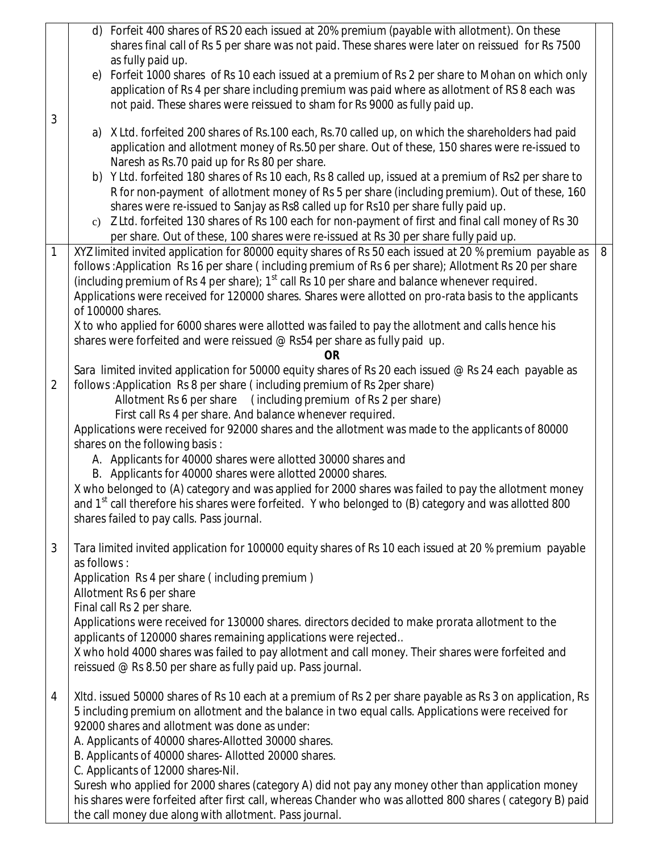|                | d) Forfeit 400 shares of RS 20 each issued at 20% premium (payable with allotment). On these<br>shares final call of Rs 5 per share was not paid. These shares were later on reissued for Rs 7500                                                                                                                                                                                                                                                                                                                                                                                                                                                                                                                                                                                                                                                        |   |
|----------------|----------------------------------------------------------------------------------------------------------------------------------------------------------------------------------------------------------------------------------------------------------------------------------------------------------------------------------------------------------------------------------------------------------------------------------------------------------------------------------------------------------------------------------------------------------------------------------------------------------------------------------------------------------------------------------------------------------------------------------------------------------------------------------------------------------------------------------------------------------|---|
|                | as fully paid up.<br>Forfeit 1000 shares of Rs 10 each issued at a premium of Rs 2 per share to Mohan on which only<br>e)<br>application of Rs 4 per share including premium was paid where as allotment of RS 8 each was<br>not paid. These shares were reissued to sham for Rs 9000 as fully paid up.                                                                                                                                                                                                                                                                                                                                                                                                                                                                                                                                                  |   |
| 3              | a) X Ltd. forfeited 200 shares of Rs.100 each, Rs.70 called up, on which the shareholders had paid<br>application and allotment money of Rs.50 per share. Out of these, 150 shares were re-issued to<br>Naresh as Rs.70 paid up for Rs 80 per share.                                                                                                                                                                                                                                                                                                                                                                                                                                                                                                                                                                                                     |   |
|                | b) Y Ltd. forfeited 180 shares of Rs 10 each, Rs 8 called up, issued at a premium of Rs2 per share to<br>R for non-payment of allotment money of Rs 5 per share (including premium). Out of these, 160<br>shares were re-issued to Sanjay as Rs8 called up for Rs10 per share fully paid up.<br>c) Z Ltd. forfeited 130 shares of Rs 100 each for non-payment of first and final call money of Rs 30                                                                                                                                                                                                                                                                                                                                                                                                                                                     |   |
|                | per share. Out of these, 100 shares were re-issued at Rs 30 per share fully paid up.                                                                                                                                                                                                                                                                                                                                                                                                                                                                                                                                                                                                                                                                                                                                                                     |   |
| 1              | XYZ limited invited application for 80000 equity shares of Rs 50 each issued at 20 % premium payable as<br>follows: Application Rs 16 per share (including premium of Rs 6 per share); Allotment Rs 20 per share<br>(including premium of Rs 4 per share); 1 <sup>st</sup> call Rs 10 per share and balance whenever required.<br>Applications were received for 120000 shares. Shares were allotted on pro-rata basis to the applicants<br>of 100000 shares.<br>X to who applied for 6000 shares were allotted was failed to pay the allotment and calls hence his<br>shares were forfeited and were reissued @ Rs54 per share as fully paid up.<br>0R                                                                                                                                                                                                  | 8 |
| $\overline{2}$ | Sara limited invited application for 50000 equity shares of Rs 20 each issued $@$ Rs 24 each payable as<br>follows: Application Rs 8 per share (including premium of Rs 2per share)<br>Allotment Rs 6 per share (including premium of Rs 2 per share)<br>First call Rs 4 per share. And balance whenever required.<br>Applications were received for 92000 shares and the allotment was made to the applicants of 80000<br>shares on the following basis:<br>A. Applicants for 40000 shares were allotted 30000 shares and<br>B. Applicants for 40000 shares were allotted 20000 shares.<br>X who belonged to (A) category and was applied for 2000 shares was failed to pay the allotment money<br>and $1st$ call therefore his shares were forfeited. Y who belonged to (B) category and was allotted 800<br>shares failed to pay calls. Pass journal. |   |
| 3              | Tara limited invited application for 100000 equity shares of Rs 10 each issued at 20 % premium payable<br>as follows:<br>Application Rs 4 per share (including premium)<br>Allotment Rs 6 per share<br>Final call Rs 2 per share.<br>Applications were received for 130000 shares. directors decided to make prorata allotment to the<br>applicants of 120000 shares remaining applications were rejected<br>X who hold 4000 shares was failed to pay allotment and call money. Their shares were forfeited and<br>reissued @ Rs 8.50 per share as fully paid up. Pass journal.                                                                                                                                                                                                                                                                          |   |
| 4              | XItd. issued 50000 shares of Rs 10 each at a premium of Rs 2 per share payable as Rs 3 on application, Rs<br>5 including premium on allotment and the balance in two equal calls. Applications were received for<br>92000 shares and allotment was done as under:<br>A. Applicants of 40000 shares-Allotted 30000 shares.<br>B. Applicants of 40000 shares- Allotted 20000 shares.<br>C. Applicants of 12000 shares-Nil.<br>Suresh who applied for 2000 shares (category A) did not pay any money other than application money<br>his shares were forfeited after first call, whereas Chander who was allotted 800 shares (category B) paid                                                                                                                                                                                                              |   |
|                | the call money due along with allotment. Pass journal.                                                                                                                                                                                                                                                                                                                                                                                                                                                                                                                                                                                                                                                                                                                                                                                                   |   |